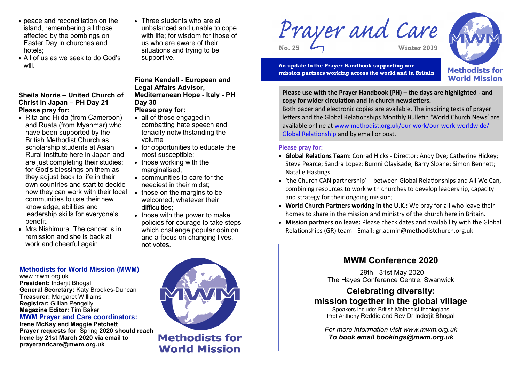- peace and reconciliation on the island, remembering all those affected by the bombings on Easter Day in churches and hotels;
- All of us as we seek to do God's will.

### **Sheila Norris – United Church of Christ in Japan – PH Day 21 Please pray for:**

- Rita and Hilda (from Cameroon) and Ruata (from Myanmar) who have been supported by the British Methodist Church as scholarship students at Asian Rural Institute here in Japan and are just completing their studies: for God's blessings on them as they adjust back to life in their own countries and start to decide how they can work with their local those on the margins to be communities to use their new knowledge, abilities and leadership skills for everyone's benefit.
- Mrs Nishimura. The cancer is in remission and she is back at work and cheerful again.

• Three students who are all unbalanced and unable to cope with life; for wisdom for those of us who are aware of their situations and trying to be supportive.

## **Fiona Kendall - European and Legal Affairs Advisor, Mediterranean Hope - Italy - PH Day 30**

# **Please pray for:**

- all of those engaged in combatting hate speech and tenacity notwithstanding the volume
- for opportunities to educate the most susceptible;
- those working with the marginalised:
- communities to care for the neediest in their midst;
- welcomed, whatever their difficulties;
- $\bullet$  those with the power to make policies for courage to take steps which challenge popular opinion and a focus on changing lives, not votes.

Prayer and Care **No. 25 Winter 2019**





**Please use with the Prayer Handbook (PH) – the days are highlighted - and copy for wider circulation and in church newsletters.** 

Both paper and electronic copies are available. The inspiring texts of prayer letters and the Global Relationships Monthly Bulletin 'World Church News' are available online at www.methodist.org.uk/our-work/our-work-worldwide/ Global Relationship and by email or post.

#### **Please pray for:**

- **Global Relations Team:** Conrad Hicks Director; Andy Dye; Catherine Hickey; Steve Pearce; Sandra Lopez; Bumni Olayisade; Barry Sloane; Simon Bennett; Natalie Hastings.
- 'the Church CAN partnership' between Global Relationships and All We Can, combining resources to work with churches to develop leadership, capacity and strategy for their ongoing mission;
- **World Church Partners working in the U.K.:** We pray for all who leave their homes to share in the mission and ministry of the church here in Britain.
- **Mission partners on leave:** Please check dates and availability with the Global Relationships (GR) team - Email: gr.admin@methodistchurch.org.uk



#### **Methodists for World Mission (MWM)**

www.mwm.org.uk **President:** Inderjit Bhogal **General Secretary:** Katy Brookes-Duncan **Treasurer:** Margaret Williams **Registrar:** Gillian Pengelly **Magazine Editor:** Tim Baker

**MWM Prayer and Care coordinators:** 

**Irene McKay and Maggie Patchett Prayer requests for** Spring **2020 should reach Irene by 21st March 2020 via email to prayerandcare@mwm.org.uk** 



**Methodists for World Mission**